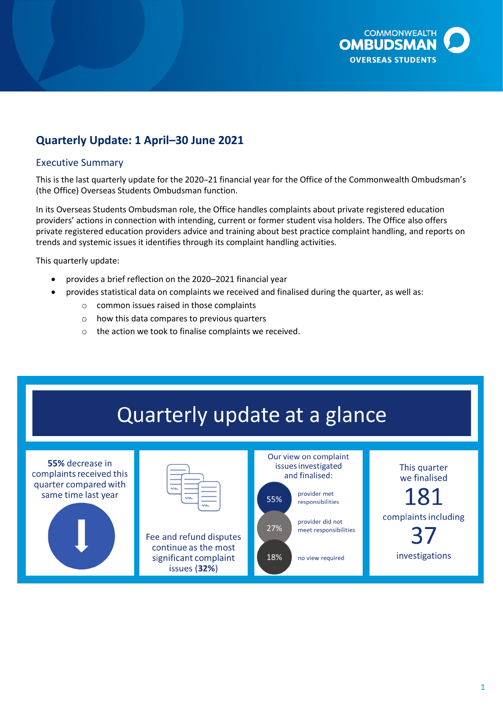

# **Quarterly Update: 1 April–30 June 2021**

### Executive Summary

This is the last quarterly update for the 2020–21 financial year for the Office of the Commonwealth Ombudsman's (the Office) Overseas Students Ombudsman function.

In its Overseas Students Ombudsman role, the Office handles complaints about private registered education providers' actions in connection with intending, current or former student visa holders. The Office also offers private registered education providers advice and training about best practice complaint handling, and reports on trends and systemic issues it identifies through its complaint handling activities.

This quarterly update:

- provides a brief reflection on the 2020–2021 financial year
- provides statistical data on complaints we received and finalised during the quarter, as well as:
	- o common issues raised in those complaints
	- o how this data compares to previous quarters
	- o the action we took to finalise complaints we received.



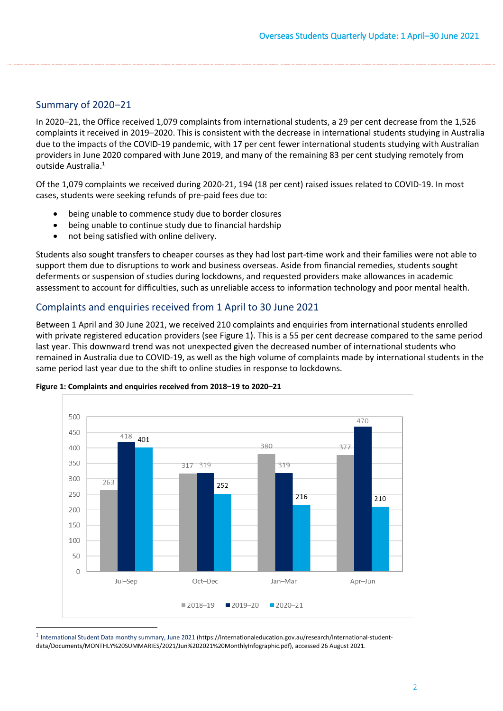### Summary of 2020–21

 due to the impacts of the COVID-19 pandemic, with 17 per cent fewer international students studying with Australian providers in June 2020 compared with June 2019, and many of the remaining 83 per cent studying remotely from In 2020–21, the Office received 1,079 complaints from international students, a 29 per cent decrease from the 1,526 complaints it received in 2019–2020. This is consistent with the decrease in international students studying in Australia outside Australia.<sup>1</sup>

Of the 1,079 complaints we received during 2020-21, 194 (18 per cent) raised issues related to COVID-19. In most cases, students were seeking refunds of pre-paid fees due to:

- being unable to commence study due to border closures
- being unable to continue study due to financial hardship
- not being satisfied with online delivery.

Students also sought transfers to cheaper courses as they had lost part-time work and their families were not able to support them due to disruptions to work and business overseas. Aside from financial remedies, students sought deferments or suspension of studies during lockdowns, and requested providers make allowances in academic assessment to account for difficulties, such as unreliable access to information technology and poor mental health.

### Complaints and enquiries received from 1 April to 30 June 2021

 with private registered education providers (see [Figure 1\)](#page-1-0). This is a 55 per cent decrease compared to the same period Between 1 April and 30 June 2021, we received 210 complaints and enquiries from international students enrolled last year. This downward trend was not unexpected given the decreased number of international students who remained in Australia due to COVID-19, as well as the high volume of complaints made by international students in the same period last year due to the shift to online studies in response to lockdowns.



#### <span id="page-1-0"></span>**Figure 1: Complaints and enquiries received from 2018–19 to 2020–21**

 $1$  [International Student Data monthy summary, June 2021](https://internationaleducation.gov.au/research/international-student-data/Documents/MONTHLY%20SUMMARIES/2021/Jun%202021%20MonthlyInfographic.pdf) [\(https://internationaleducation.gov.au/research/international-student](https://internationaleducation.gov.au/research/international-student)data/Documents/MONTHLY%20SUMMARIES/2021/Jun%202021%20MonthlyInfographic.pdf), accessed 26 August 2021.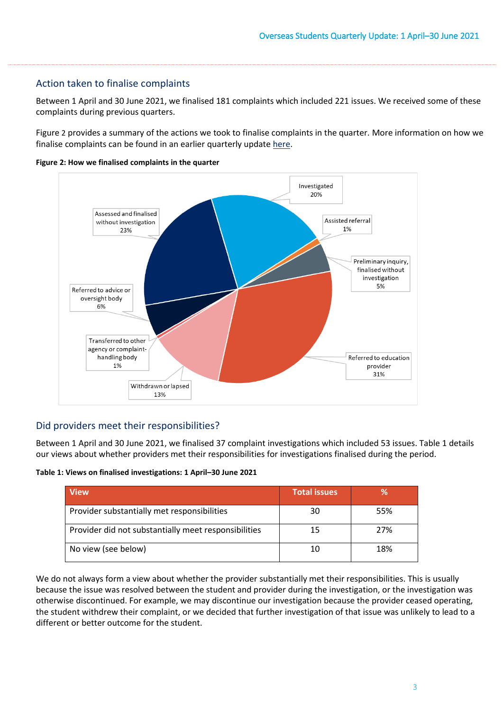### Action taken to finalise complaints

Between 1 April and 30 June 2021, we finalised 181 complaints which included 221 issues. We received some of these complaints during previous quarters.

[Figure 2](#page-2-0) provides a summary of the actions we took to finalise complaints in the quarter. More information on how we finalise complaints can be found in an earlier quarterly update [here.](https://www.ombudsman.gov.au/__data/assets/pdf_file/0011/110621/Overseas-Students-Quarterly-Summary-October-to-December-2019.pdf)

<span id="page-2-0"></span>**Figure 2: How we finalised complaints in the quarter** 



## Did providers meet their responsibilities?

Between 1 April and 30 June 2021, we finalised 37 complaint investigations which included 53 issues[. Table 1](#page-2-1) details our views about whether providers met their responsibilities for investigations finalised during the period.

<span id="page-2-1"></span>**Table 1: Views on finalised investigations: 1 April–30 June 2021** 

| <b>View</b>                                          | <b>Total issues</b> | %   |
|------------------------------------------------------|---------------------|-----|
| Provider substantially met responsibilities          | 30                  | 55% |
| Provider did not substantially meet responsibilities | 15                  | 27% |
| No view (see below)                                  |                     | 18% |

We do not always form a view about whether the provider substantially met their responsibilities. This is usually because the issue was resolved between the student and provider during the investigation, or the investigation was otherwise discontinued. For example, we may discontinue our investigation because the provider ceased operating, the student withdrew their complaint, or we decided that further investigation of that issue was unlikely to lead to a different or better outcome for the student.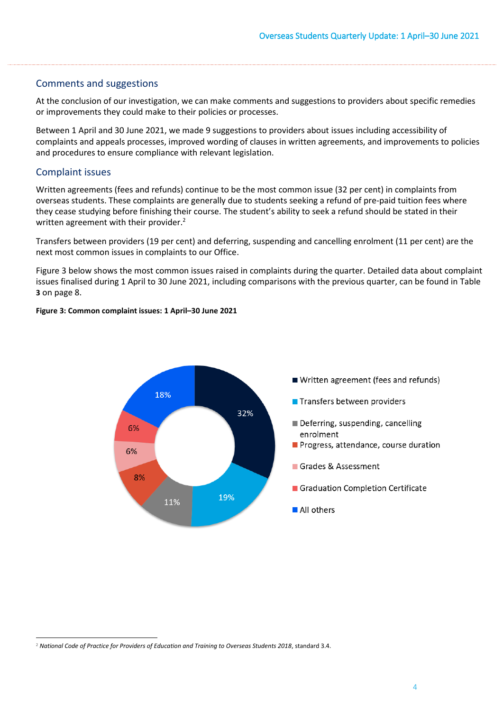#### Comments and suggestions

At the conclusion of our investigation, we can make comments and suggestions to providers about specific remedies or improvements they could make to their policies or processes.

 Between 1 April and 30 June 2021, we made 9 suggestions to providers about issues including accessibility of complaints and appeals processes, improved wording of clauses in written agreements, and improvements to policies and procedures to ensure compliance with relevant legislation.

### Complaint issues

Written agreements (fees and refunds) continue to be the most common issue (32 per cent) in complaints from overseas students. These complaints are generally due to students seeking a refund of pre-paid tuition fees where they cease studying before finishing their course. The student's ability to seek a refund should be stated in their written agreement with their provider.<sup>2</sup>

Transfers between providers (19 per cent) and deferring, suspending and cancelling enrolment (11 per cent) are the next most common issues in complaints to our Office.

[Figure 3](#page-3-0) below shows the most common issues raised in complaints during the quarter. Detailed data about complaint issues finalised during 1 April to 30 June 2021, including comparisons with the previous quarter, can be found i[n Table](#page-7-0)  **[3](#page-7-0)** on page 8.

<span id="page-3-0"></span>**Figure 3: Common complaint issues: 1 April–30 June 2021** 



<sup>2</sup>*National Code of Practice for Providers of Education and Training to Overseas Students 2018*, standard 3.4.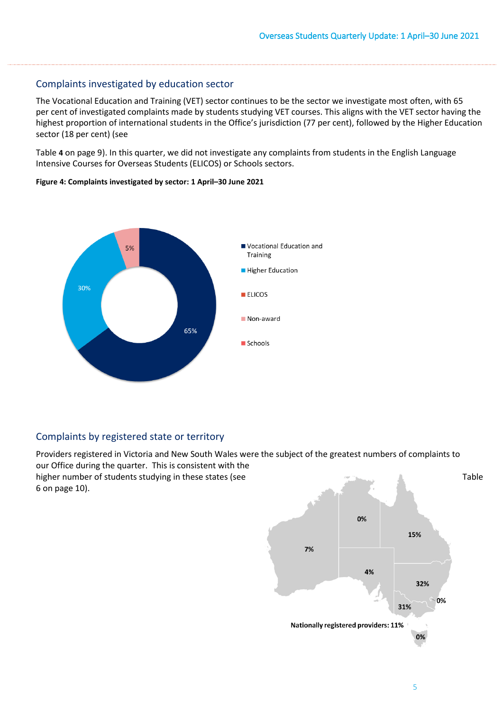### Complaints investigated by education sector

 highest proportion of international students in the Office's jurisdiction (77 per cent), followed by the Higher Education The Vocational Education and Training (VET) sector continues to be the sector we investigate most often, with 65 per cent of investigated complaints made by students studying VET courses. This aligns with the VET sector having the sector (18 per cent) (see

[Table](#page-8-0) **4** on page 9). In this quarter, we did not investigate any complaints from students in the English Language Intensive Courses for Overseas Students (ELICOS) or Schools sectors.



#### **Figure 4: Complaints investigated by sector: 1 April–30 June 2021**

## Complaints by registered state or territory

Providers registered in Victoria and New South Wales were the subject of the greatest numbers of complaints to our Office during the quarter. This is consistent with the higher number of students studying in these states (see [6](#page-9-0) on page 10).

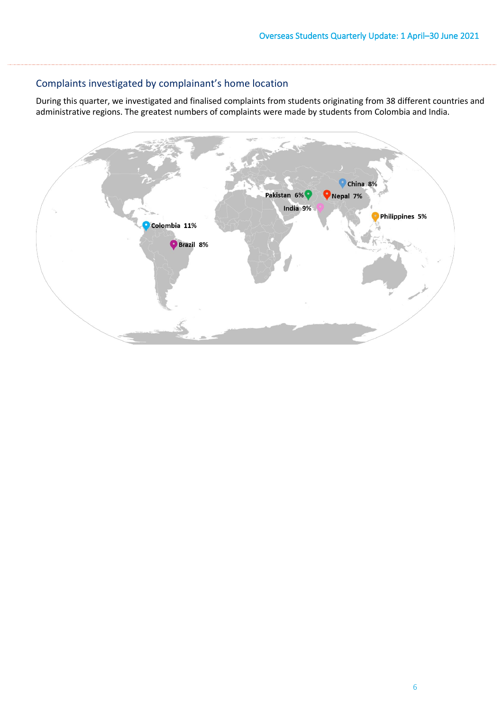## Complaints investigated by complainant's home location

During this quarter, we investigated and finalised complaints from students originating from 38 different countries and administrative regions. The greatest numbers of complaints were made by students from Colombia and India.

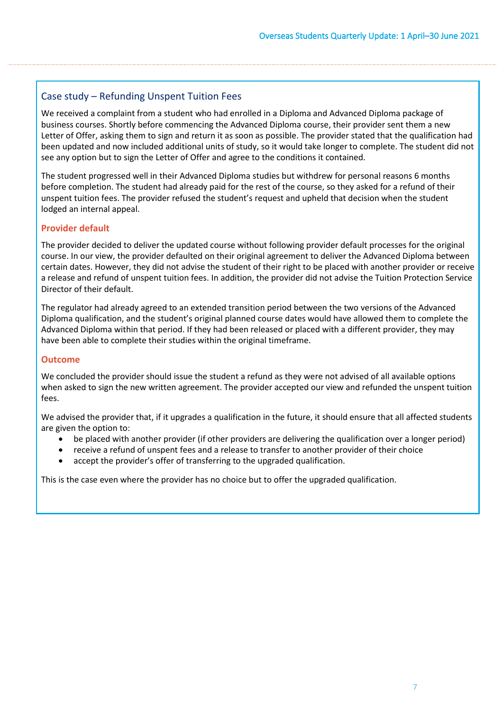### Case study – Refunding Unspent Tuition Fees

 business courses. Shortly before commencing the Advanced Diploma course, their provider sent them a new been updated and now included additional units of study, so it would take longer to complete. The student did not We received a complaint from a student who had enrolled in a Diploma and Advanced Diploma package of Letter of Offer, asking them to sign and return it as soon as possible. The provider stated that the qualification had see any option but to sign the Letter of Offer and agree to the conditions it contained.

The student progressed well in their Advanced Diploma studies but withdrew for personal reasons 6 months before completion. The student had already paid for the rest of the course, so they asked for a refund of their unspent tuition fees. The provider refused the student's request and upheld that decision when the student lodged an internal appeal.

#### **Provider default**

The provider decided to deliver the updated course without following provider default processes for the original course. In our view, the provider defaulted on their original agreement to deliver the Advanced Diploma between certain dates. However, they did not advise the student of their right to be placed with another provider or receive a release and refund of unspent tuition fees. In addition, the provider did not advise the Tuition Protection Service Director of their default.

The regulator had already agreed to an extended transition period between the two versions of the Advanced Diploma qualification, and the student's original planned course dates would have allowed them to complete the Advanced Diploma within that period. If they had been released or placed with a different provider, they may have been able to complete their studies within the original timeframe.

#### **Outcome**

 We concluded the provider should issue the student a refund as they were not advised of all available options when asked to sign the new written agreement. The provider accepted our view and refunded the unspent tuition fees.

We advised the provider that, if it upgrades a qualification in the future, it should ensure that all affected students are given the option to:

- be placed with another provider (if other providers are delivering the qualification over a longer period)
- receive a refund of unspent fees and a release to transfer to another provider of their choice
- accept the provider's offer of transferring to the upgraded qualification.

This is the case even where the provider has no choice but to offer the upgraded qualification.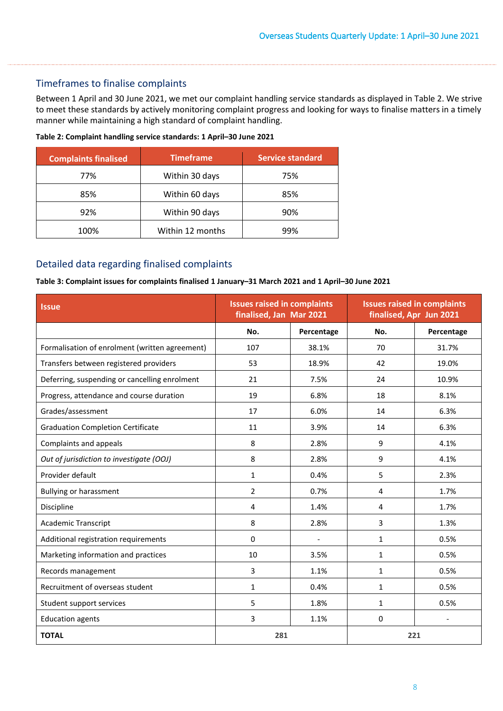## Timeframes to finalise complaints

 to meet these standards by actively monitoring complaint progress and looking for ways to finalise matters in a timely Between 1 April and 30 June 2021, we met our complaint handling service standards as displayed i[n Table 2.](#page-7-1) We strive manner while maintaining a high standard of complaint handling.

<span id="page-7-1"></span>

| <b>Complaints finalised</b> | <b>Timeframe</b> |     |
|-----------------------------|------------------|-----|
| 77%                         | Within 30 days   | 75% |
| 85%                         | Within 60 days   | 85% |
| 92%                         | Within 90 days   | 90% |
| 100%                        | Within 12 months | 99% |

## Detailed data regarding finalised complaints

#### <span id="page-7-0"></span>**Table 3: Complaint issues for complaints finalised 1 January–31 March 2021 and 1 April–30 June 2021**

| <b>Issue</b>                                   | <b>Issues raised in complaints</b><br>finalised, Jan Mar 2021 |                          | <b>Issues raised in complaints</b><br>finalised, Apr Jun 2021 |            |
|------------------------------------------------|---------------------------------------------------------------|--------------------------|---------------------------------------------------------------|------------|
|                                                | No.                                                           | Percentage               | No.                                                           | Percentage |
| Formalisation of enrolment (written agreement) | 107                                                           | 38.1%                    | 70                                                            | 31.7%      |
| Transfers between registered providers         | 53                                                            | 18.9%                    | 42                                                            | 19.0%      |
| Deferring, suspending or cancelling enrolment  | 21                                                            | 7.5%                     | 24                                                            | 10.9%      |
| Progress, attendance and course duration       | 19                                                            | 6.8%                     | 18                                                            | 8.1%       |
| Grades/assessment                              | 17                                                            | 6.0%                     | 14                                                            | 6.3%       |
| <b>Graduation Completion Certificate</b>       | 11                                                            | 3.9%                     | 14                                                            | 6.3%       |
| Complaints and appeals                         | 8                                                             | 2.8%                     | 9                                                             | 4.1%       |
| Out of jurisdiction to investigate (OOJ)       | 8                                                             | 2.8%                     | 9                                                             | 4.1%       |
| Provider default                               | $\mathbf{1}$                                                  | 0.4%                     | 5                                                             | 2.3%       |
| <b>Bullying or harassment</b>                  | $\overline{2}$                                                | 0.7%                     | 4                                                             | 1.7%       |
| Discipline                                     | 4                                                             | 1.4%                     | 4                                                             | 1.7%       |
| <b>Academic Transcript</b>                     | 8                                                             | 2.8%                     | 3                                                             | 1.3%       |
| Additional registration requirements           | 0                                                             | $\overline{\phantom{a}}$ | 1                                                             | 0.5%       |
| Marketing information and practices            | 10                                                            | 3.5%                     | $\mathbf{1}$                                                  | 0.5%       |
| Records management                             | 3                                                             | 1.1%                     | $\mathbf{1}$                                                  | 0.5%       |
| Recruitment of overseas student                | $\mathbf{1}$                                                  | 0.4%                     | $\mathbf{1}$                                                  | 0.5%       |
| Student support services                       | 5                                                             | 1.8%                     | $\mathbf{1}$                                                  | 0.5%       |
| <b>Education agents</b>                        | 3                                                             | 1.1%                     | 0                                                             |            |
| <b>TOTAL</b>                                   | 281                                                           |                          | 221                                                           |            |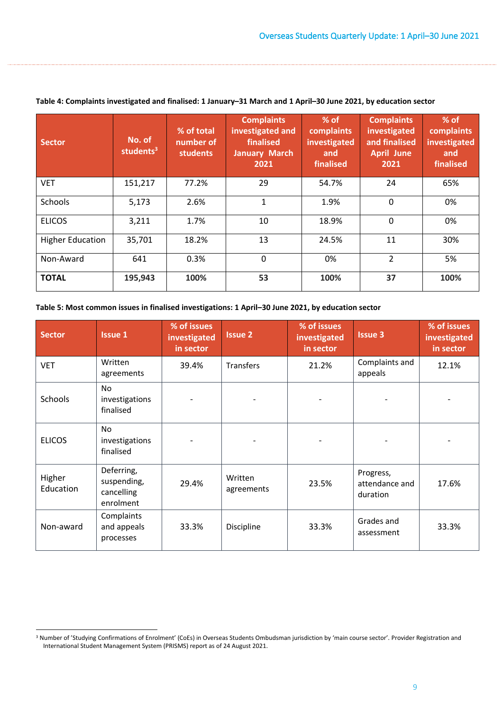| <b>Sector</b>           | No. of<br>students <sup>3</sup> | % of total<br>number of<br>students | <b>Complaints</b><br>investigated and<br>finalised<br><b>January March</b><br>2021 | $%$ of<br>complaints<br>investigated<br>and<br>finalised | <b>Complaints</b><br>investigated<br>and finalised<br><b>April June</b><br>2021 | $%$ of<br>complaints<br>investigated<br>and<br>finalised |
|-------------------------|---------------------------------|-------------------------------------|------------------------------------------------------------------------------------|----------------------------------------------------------|---------------------------------------------------------------------------------|----------------------------------------------------------|
| <b>VET</b>              | 151,217                         | 77.2%                               | 29                                                                                 | 54.7%                                                    | 24                                                                              | 65%                                                      |
| Schools                 | 5,173                           | 2.6%                                | $\mathbf{1}$                                                                       | 1.9%                                                     | $\mathbf 0$                                                                     | 0%                                                       |
| <b>ELICOS</b>           | 3,211                           | 1.7%                                | 10                                                                                 | 18.9%                                                    | $\mathbf 0$                                                                     | 0%                                                       |
| <b>Higher Education</b> | 35,701                          | 18.2%                               | 13                                                                                 | 24.5%                                                    | 11                                                                              | 30%                                                      |
| Non-Award               | 641                             | 0.3%                                | $\mathbf 0$                                                                        | 0%                                                       | $\overline{2}$                                                                  | 5%                                                       |
| <b>TOTAL</b>            | 195,943                         | 100%                                | 53                                                                                 | 100%                                                     | 37                                                                              | 100%                                                     |

#### <span id="page-8-0"></span>**Table 4: Complaints investigated and finalised: 1 January–31 March and 1 April–30 June 2021, by education sector**

| Table 5: Most common issues in finalised investigations: 1 April-30 June 2021, by education sector |  |  |
|----------------------------------------------------------------------------------------------------|--|--|
|                                                                                                    |  |  |

| <b>Sector</b>       | <b>Issue 1</b>                                       | % of issues<br>investigated<br>in sector | <b>Issue 2</b>        | % of issues<br>investigated<br>in sector | <b>Issue 3</b>                          | % of issues<br>investigated<br>in sector |
|---------------------|------------------------------------------------------|------------------------------------------|-----------------------|------------------------------------------|-----------------------------------------|------------------------------------------|
| <b>VET</b>          | Written<br>agreements                                | 39.4%                                    | Transfers             | 21.2%                                    | Complaints and<br>appeals               | 12.1%                                    |
| Schools             | <b>No</b><br>investigations<br>finalised             |                                          |                       |                                          |                                         |                                          |
| <b>ELICOS</b>       | No.<br>investigations<br>finalised                   |                                          |                       |                                          |                                         |                                          |
| Higher<br>Education | Deferring,<br>suspending,<br>cancelling<br>enrolment | 29.4%                                    | Written<br>agreements | 23.5%                                    | Progress,<br>attendance and<br>duration | 17.6%                                    |
| Non-award           | Complaints<br>and appeals<br>processes               | 33.3%                                    | Discipline            | 33.3%                                    | Grades and<br>assessment                | 33.3%                                    |

<sup>&</sup>lt;sup>3</sup> Number of 'Studying Confirmations of Enrolment' (CoEs) in Overseas Students Ombudsman jurisdiction by 'main course sector'. Provider Registration and International Student Management System (PRISMS) report as of 24 August 2021.